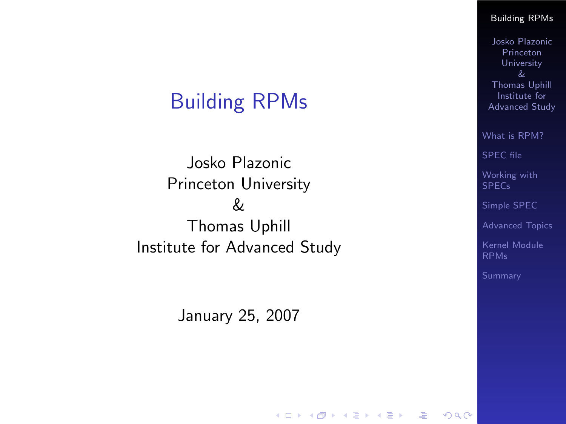## Building RPMs

Josko Plazonic Princeton University & Thomas Uphill Institute for Advanced Study

<span id="page-0-0"></span>January 25, 2007

 $\mathbf{E} = \mathbf{A} \mathbf{E} \mathbf{b} + \mathbf{A} \mathbf{E} \mathbf{b} + \mathbf{A} \mathbf{B} \mathbf{b} + \mathbf{A} \mathbf{b}$ 

#### [Building RPMs](#page-50-0)

Josko Plazonic Princeton University Thomas Uphill Institute for Advanced Study

[What is RPM?](#page-2-0)

[SPEC file](#page-20-0)

[Working with](#page-32-0) SPECs

[Simple SPEC](#page-33-0)

[Advanced Topics](#page-35-0)

[Kernel Module](#page-37-0) RPMs

 $2990$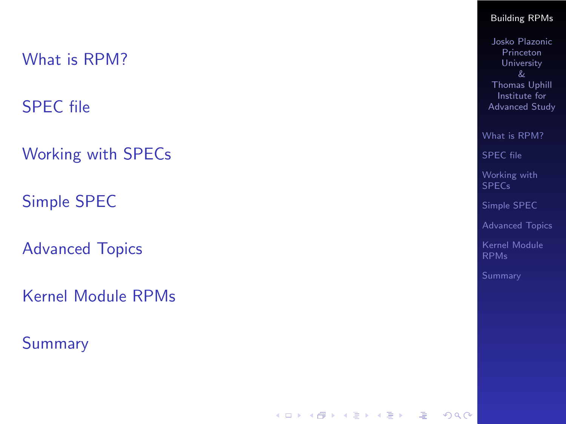[SPEC file](#page-20-0)

[Working with SPECs](#page-32-0)

[Simple SPEC](#page-33-0)

[Advanced Topics](#page-35-0)

[Kernel Module RPMs](#page-37-0)

[Summary](#page-48-0)

#### [Building RPMs](#page-0-0)

Josko Plazonic Princeton University Thomas Uphill Institute for Advanced Study

[What is RPM?](#page-2-0)

[SPEC file](#page-20-0)

[Working with](#page-32-0) SPECs

[Simple SPEC](#page-33-0)

[Advanced Topics](#page-35-0)

[Kernel Module](#page-37-0)

K ロ ▶ K 個 ▶ K 할 ▶ K 할 ▶ 이 할 → 이익 Q ·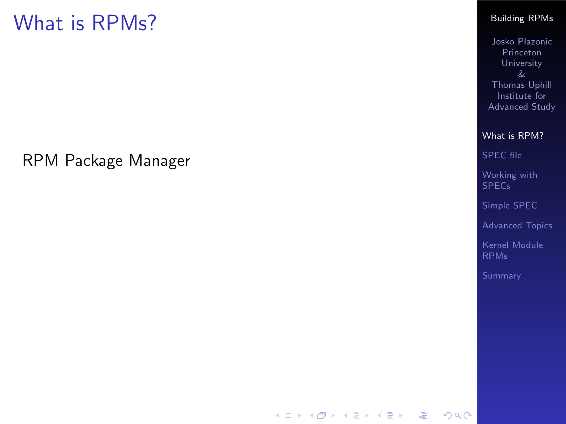<span id="page-2-0"></span>RPM Package Manager

#### [Building RPMs](#page-0-0)

Josko Plazonic Princeton University & Thomas Uphill Institute for Advanced Study

[What is RPM?](#page-2-0)

[SPEC file](#page-20-0)

[Working with](#page-32-0) SPECs

[Simple SPEC](#page-33-0)

[Advanced Topics](#page-35-0)

[Kernel Module](#page-37-0) RPMs

K ロ > K 레 > K 코 > K 코 > 『코 → 9 Q Q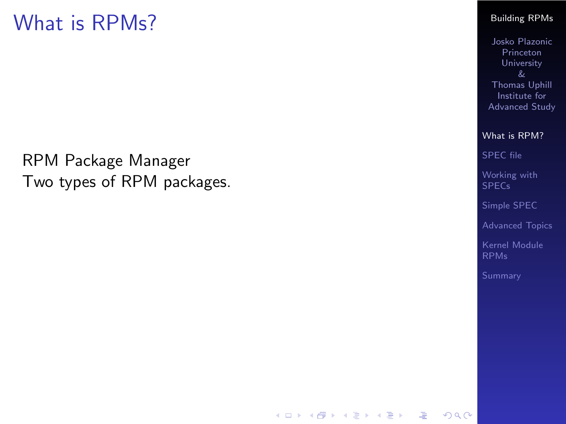RPM Package Manager Two types of RPM packages.

#### [Building RPMs](#page-0-0)

Josko Plazonic Princeton University Thomas Uphill Institute for Advanced Study

[What is RPM?](#page-2-0)

[SPEC file](#page-20-0)

[Working with](#page-32-0) SPECs

[Simple SPEC](#page-33-0)

[Advanced Topics](#page-35-0)

[Kernel Module](#page-37-0) RPMs

서비 시 제 문화 지 혼 시 지 혼 시 나는 것  $2990$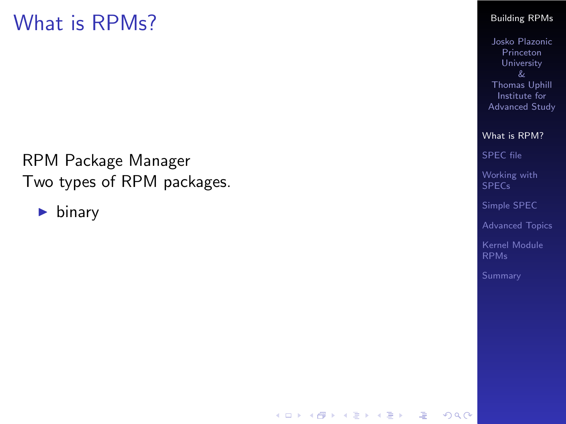RPM Package Manager Two types of RPM packages.

 $\blacktriangleright$  binary

#### [Building RPMs](#page-0-0)

Josko Plazonic Princeton University Thomas Uphill Institute for Advanced Study

[What is RPM?](#page-2-0)

[SPEC file](#page-20-0)

[Working with](#page-32-0) SPECs

[Simple SPEC](#page-33-0)

[Advanced Topics](#page-35-0)

[Kernel Module](#page-37-0) RPMs

K ロ ▶ K 個 ▶ K 할 ▶ K 할 ▶ 그럴 ▶ 그럴 → 9 Q @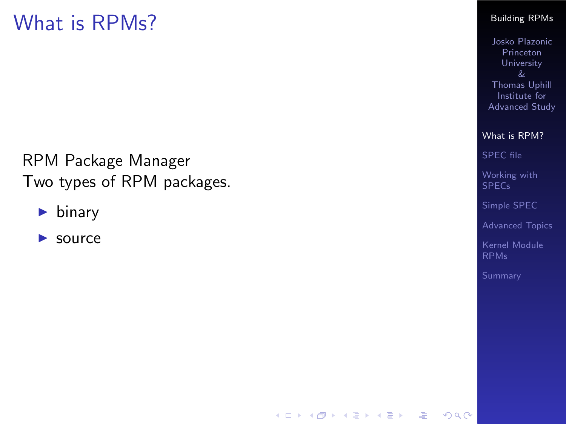RPM Package Manager Two types of RPM packages.

- $\blacktriangleright$  binary
- $\blacktriangleright$  source

#### [Building RPMs](#page-0-0)

Josko Plazonic Princeton University Thomas Uphill Institute for Advanced Study

[What is RPM?](#page-2-0)

[SPEC file](#page-20-0)

[Working with](#page-32-0) SPECs

[Simple SPEC](#page-33-0)

[Advanced Topics](#page-35-0)

[Kernel Module](#page-37-0) RPMs

K ロ ▶ K 個 ▶ K 할 ▶ K 할 ▶ 그럴 ▶ 그럴 → 9 Q @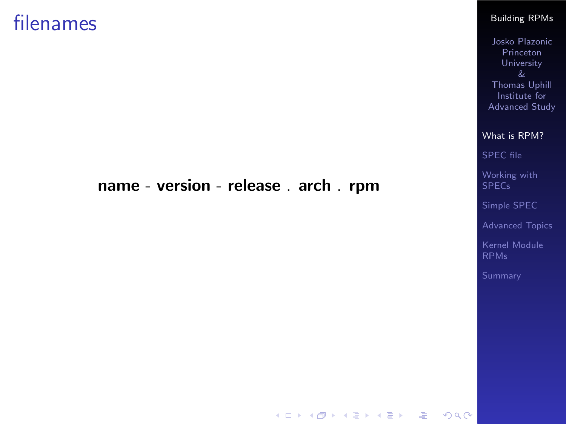### filenames

### name - version - release . arch . rpm

[Building RPMs](#page-0-0)

Josko Plazonic Princeton University & Thomas Uphill Institute for Advanced Study

[What is RPM?](#page-2-0)

[SPEC file](#page-20-0)

[Working with](#page-32-0) SPECs

[Simple SPEC](#page-33-0)

[Advanced Topics](#page-35-0)

[Kernel Module](#page-37-0) RPMs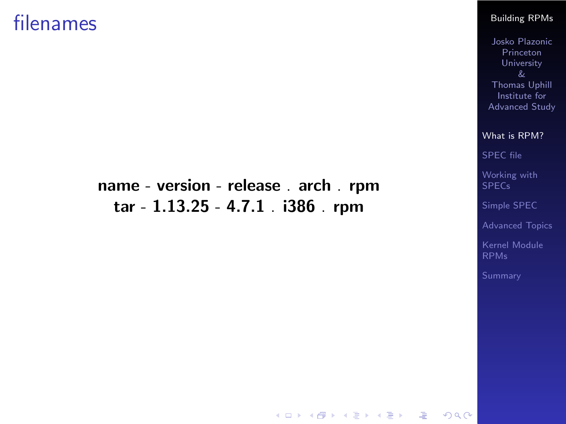### filenames

### name - version - release . arch . rpm tar - 1.13.25 - 4.7.1 . i386 . rpm

#### [Building RPMs](#page-0-0)

Josko Plazonic Princeton University Thomas Uphill Institute for Advanced Study

[What is RPM?](#page-2-0)

[SPEC file](#page-20-0)

[Working with](#page-32-0) SPECs

[Simple SPEC](#page-33-0)

[Advanced Topics](#page-35-0)

[Kernel Module](#page-37-0) RPMs

K ロ ▶ K 個 ▶ K 할 ▶ K 할 ▶ 이 할 → 이익 Q ·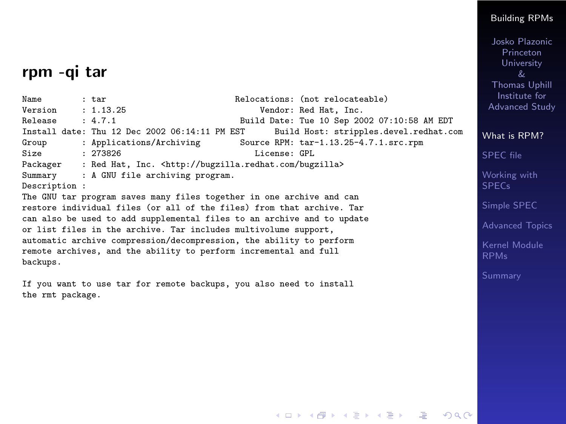### rpm -qi tar

Name : tar : tar Relocations: (not relocateable)<br>Version : 1.13.25 ... Vendor: Red Hat. Inc. Version : 1.13.25 Vendor: Red Hat, Inc.<br>
Release : 4.7.1 Build Date: Tue 10 Sep 20 Build Date: Tue 10 Sep 2002 07:10:58 AM EDT<br>ST Build Host: stripples.devel.redhat.com Install date: Thu 12 Dec 2002 06:14:11 PM EST Group : Applications/Archiving So Group : Applications/Archiving Source RPM: tar-1.13.25-4.7.1.src.rpm<br>Size : 273826 Size : 273826 License: GPL<br>Packager : Red Hat, Inc. <http://bugzilla.redhat.com/bug; Packager : Red Hat, Inc. <http://bugzilla.redhat.com/bugzilla><br>Summary : A GNU file archiving program. : A GNU file archiving program. Description : The GNU tar program saves many files together in one archive and can restore individual files (or all of the files) from that archive. Tar can also be used to add supplemental files to an archive and to update or list files in the archive. Tar includes multivolume support, automatic archive compression/decompression, the ability to perform remote archives, and the ability to perform incremental and full backups.

If you want to use tar for remote backups, you also need to install the rmt package.

#### [Building RPMs](#page-0-0)

Josko Plazonic Princeton **University** Thomas Uphill Institute for Advanced Study

[What is RPM?](#page-2-0)

[SPEC file](#page-20-0)

[Working with](#page-32-0) **SPECs** 

[Simple SPEC](#page-33-0)

[Advanced Topics](#page-35-0)

[Kernel Module](#page-37-0)

 $2990$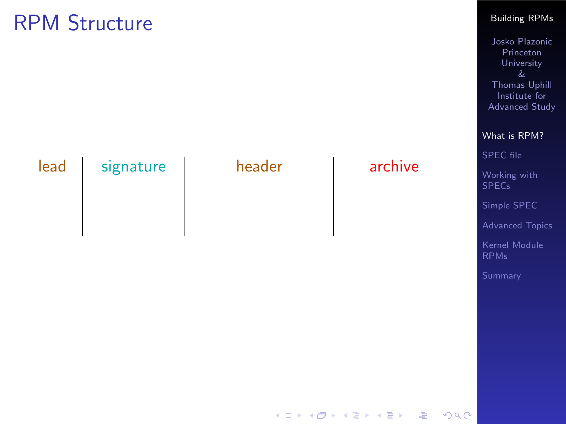#### [Building RPMs](#page-0-0)

Josko Plazonic Princeton University & Thomas Uphill Institute for Advanced Study

[What is RPM?](#page-2-0)

| lead | signature | header | archive | SPEC file<br>Working with<br><b>SPECs</b> |
|------|-----------|--------|---------|-------------------------------------------|
|      |           |        |         | Simple SPEC                               |
|      |           |        |         | <b>Advanced Topics</b>                    |
|      |           |        |         | Kernel Module<br><b>RPMs</b>              |
|      |           |        |         | Summary                                   |
|      |           |        |         |                                           |
|      |           |        |         |                                           |
|      |           |        |         |                                           |
|      |           |        |         |                                           |
|      |           |        |         |                                           |

K ロ ▶ K 레 ▶ K 로 ▶ K 로 ▶ - 로 - K 이익어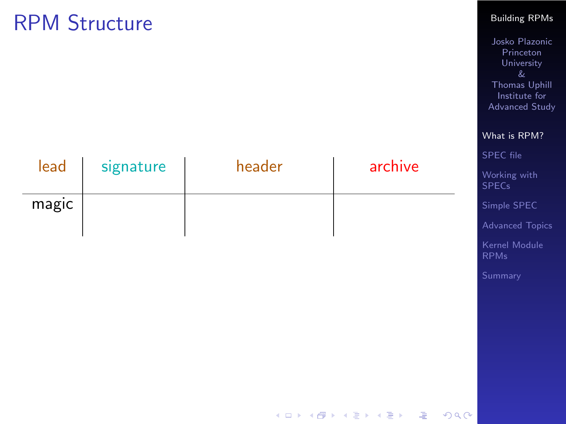#### [Building RPMs](#page-0-0)

Josko Plazonic Princeton University & Thomas Uphill Institute for Advanced Study

[What is RPM?](#page-2-0)

ernel Module

| lead  | signature | header | archive | SPEC file<br>Working with<br><b>SPECs</b> |
|-------|-----------|--------|---------|-------------------------------------------|
| magic |           |        |         | Simple SPEC                               |
|       |           |        |         | Advanced Top                              |
|       |           |        |         | Kernel Modul<br><b>RPMs</b>               |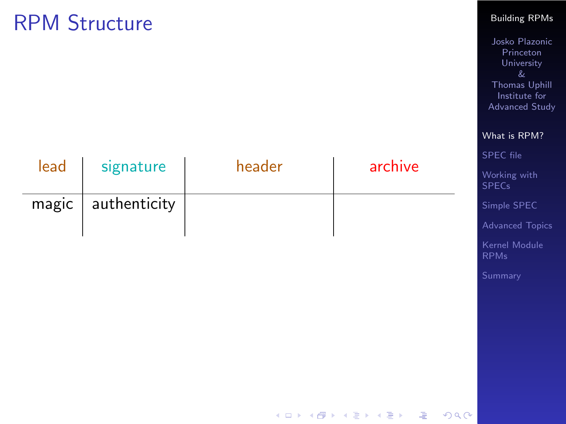| lead | signature            | header | archive |  |
|------|----------------------|--------|---------|--|
|      | $magic$ authenticity |        |         |  |

#### [Building RPMs](#page-0-0)

Josko Plazonic Princeton University & Thomas Uphill Institute for Advanced Study

[Working with](#page-32-0) **SPECs** [Simple SPEC](#page-33-0) [Advanced Topics](#page-35-0) [Kernel Module](#page-37-0)

[What is RPM?](#page-2-0) [SPEC file](#page-20-0)

RPMs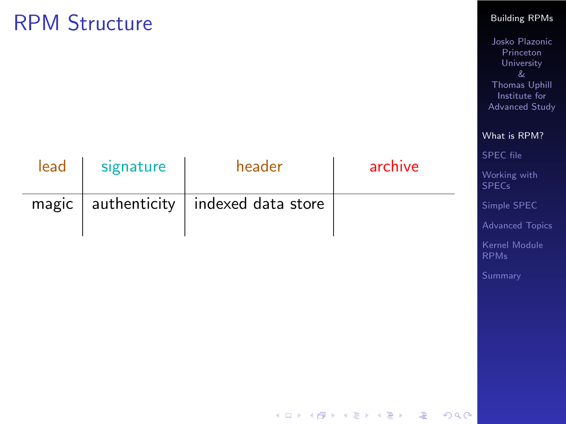#### [Building RPMs](#page-0-0)

Josko Plazonic Princeton University & Thomas Uphill Institute for Advanced Study

[What is RPM?](#page-2-0) [SPEC file](#page-20-0) [Working with](#page-32-0) **SPECs** [Simple SPEC](#page-33-0) [Advanced Topics](#page-35-0) [Kernel Module](#page-37-0) RPMs

| lead | signature | header                                    | archive |
|------|-----------|-------------------------------------------|---------|
|      |           | magic   authenticity   indexed data store |         |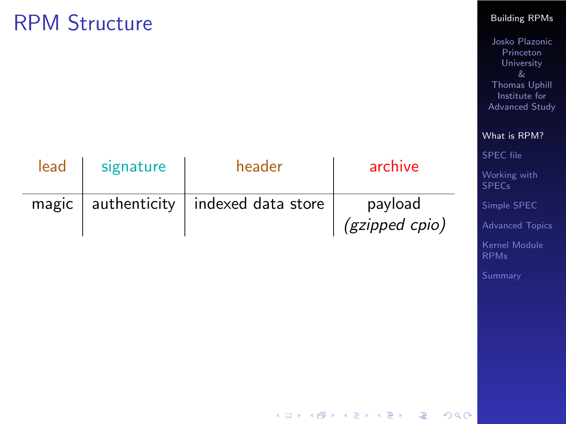#### [Building RPMs](#page-0-0)

Josko Plazonic Princeton University & Thomas Uphill Institute for Advanced Study

|       |              |                    |                | What is RPM?                 |
|-------|--------------|--------------------|----------------|------------------------------|
|       |              |                    |                | SPEC file                    |
| lead  | signature    | header             | archive        | Working with<br><b>SPECs</b> |
| magic | authenticity | indexed data store | payload        | Simple SPEC                  |
|       |              |                    | (gzipped cpio) | Advanced Topi                |

K □ ▶ K @ ▶ K 할 ▶ K 할 ▶ | 할 | 900

[Kernel Module](#page-37-0) RPMs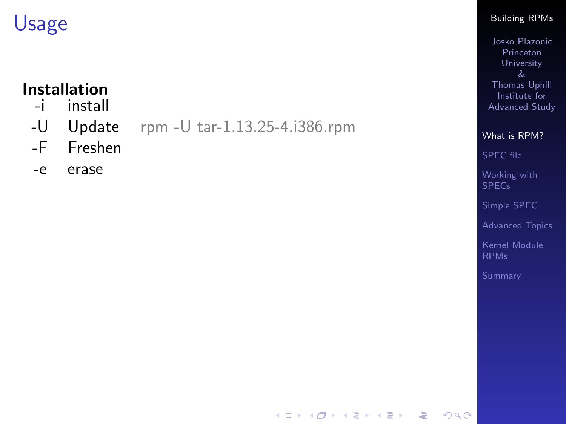# **Installation**<br>install

- install
- -U Update rpm -U tar-1.13.25-4.i386.rpm
- -F Freshen
- -e erase

#### [Building RPMs](#page-0-0)

Josko Plazonic Princeton University & Thomas Uphill Institute for Advanced Study

[What is RPM?](#page-2-0)

[SPEC file](#page-20-0)

[Working with](#page-32-0) SPECs

[Simple SPEC](#page-33-0)

[Advanced Topics](#page-35-0)

[Kernel Module](#page-37-0) RPMs

 $QQQ$ 

K ロ ▶ K @ ▶ K 할 ▶ K 할 ▶ ( 할 )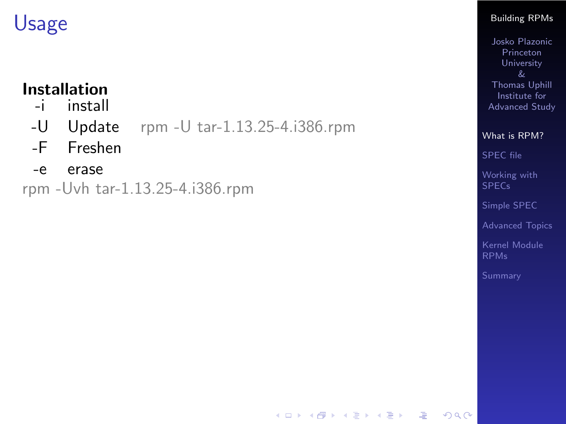# **Installation**<br>install

- install
- -U Update rpm -U tar-1.13.25-4.i386.rpm
- -F Freshen
- -e erase

rpm -Uvh tar-1.13.25-4.i386.rpm

#### [Building RPMs](#page-0-0)

Josko Plazonic Princeton University Thomas Uphill Institute for Advanced Study

[What is RPM?](#page-2-0)

[SPEC file](#page-20-0)

[Working with](#page-32-0) SPECs

[Simple SPEC](#page-33-0)

[Advanced Topics](#page-35-0)

[Kernel Module](#page-37-0) RPMs

 $QQQ$ 

K ロ ▶ K @ ▶ K 할 ▶ K 할 ▶ ( 할 )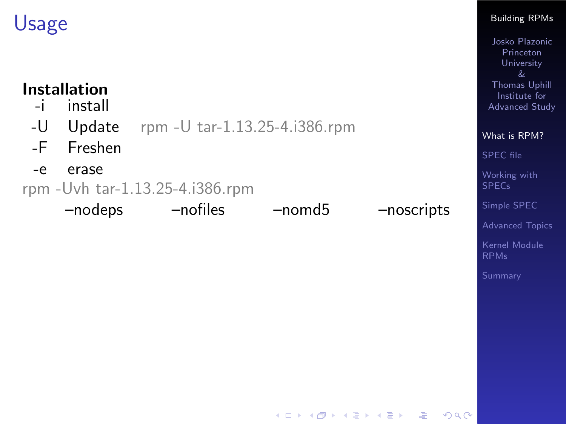# **Installation**

- install
- -U Update rpm -U tar-1.13.25-4.i386.rpm
- -F Freshen
- -e erase

rpm -Uvh tar-1.13.25-4.i386.rpm

–nodeps –nofiles –nomd5 –noscripts

 $\mathbf{E} = \mathbf{A} \mathbf{E} \mathbf{b} + \mathbf{A} \mathbf{E} \mathbf{b} + \mathbf{A} \mathbf{B} \mathbf{b} + \mathbf{A} \mathbf{b}$ 

#### [Building RPMs](#page-0-0)

Josko Plazonic Princeton University Thomas Uphill Institute for Advanced Study

[What is RPM?](#page-2-0) [SPEC file](#page-20-0)

[Working with](#page-32-0) SPECs

[Simple SPEC](#page-33-0)

[Advanced Topics](#page-35-0)

[Kernel Module](#page-37-0)

 $QQQ$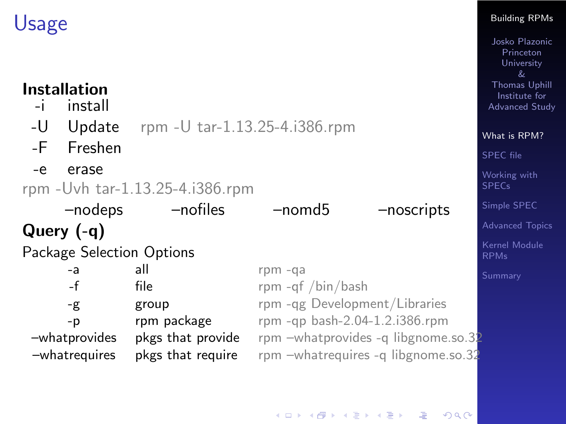# **Installation**<br>linstall

- install
- -U Update rpm -U tar-1.13.25-4.i386.rpm
- -F Freshen
- -e erase

```
rpm -Uvh tar-1.13.25-4.i386.rpm
```
–nodeps –nofiles –nomd5 –noscripts Query (-q) Package Selection Options -a all rpm -qa -f file file rpm -qf /bin/bash -g group rpm -qg Development/Libraries -p rpm package rpm -qp bash-2.04-1.2.i386.rpm –whatprovides pkgs that provide rpm –whatprovides -q libgnome.so.32 –whatrequires pkgs that require rpm –whatrequires -q libgnome.so.32

#### [Building RPMs](#page-0-0)

Josko Plazonic Princeton University & Thomas Uphill Institute for Advanced Study

[What is RPM?](#page-2-0) [SPEC file](#page-20-0) [Working with](#page-32-0)

SPECs

[Simple SPEC](#page-33-0)

[Advanced Topics](#page-35-0)

[Kernel Module](#page-37-0)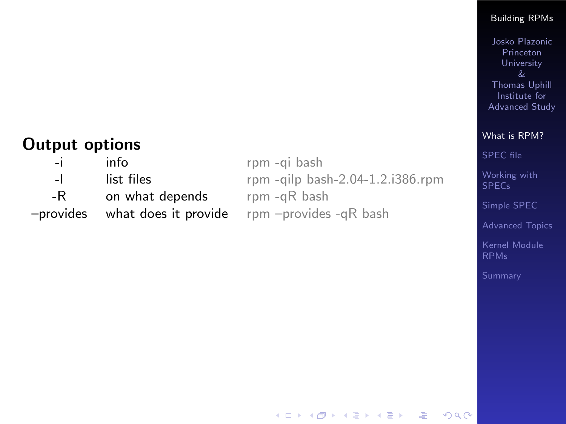#### [Building RPMs](#page-0-0)

Josko Plazonic Princeton University & Thomas Uphill Institute for Advanced Study

### Output options

| -i - | info            | rpm -gi bash                                          |
|------|-----------------|-------------------------------------------------------|
| $-1$ | list files      | rpm -qilp bash-2.04-1.2.i386.rpm                      |
| -R   | on what depends | rpm -qR bash                                          |
|      |                 | -provides what does it provide rpm -provides -qR bash |
|      |                 |                                                       |

[What is RPM?](#page-2-0) [SPEC file](#page-20-0)

[Working with](#page-32-0) **SPECs** 

[Simple SPEC](#page-33-0)

[Advanced Topics](#page-35-0)

[Kernel Module](#page-37-0) RPMs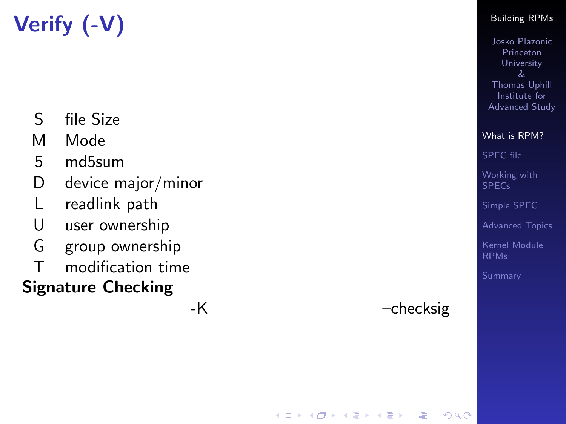# Verify (-V)

- S file Size
- M Mode
- 5 md5sum
- D device major/minor
- L readlink path
- U user ownership
- G group ownership
- T modification time

### Signature Checking

-K –checksig

 $209$ 

 $\mathbf{E} = \mathbf{A} \oplus \mathbf{B} + \mathbf{A} \oplus \mathbf{B} + \mathbf{A} \oplus \mathbf{B} + \mathbf{A} \oplus \mathbf{A}$ 

#### [Building RPMs](#page-0-0)

Josko Plazonic Princeton University Thomas Uphill Institute for Advanced Study

[What is RPM?](#page-2-0) [SPEC file](#page-20-0)

[Working with](#page-32-0) SPECs

[Simple SPEC](#page-33-0)

[Advanced Topics](#page-35-0)

[Kernel Module](#page-37-0) RPMs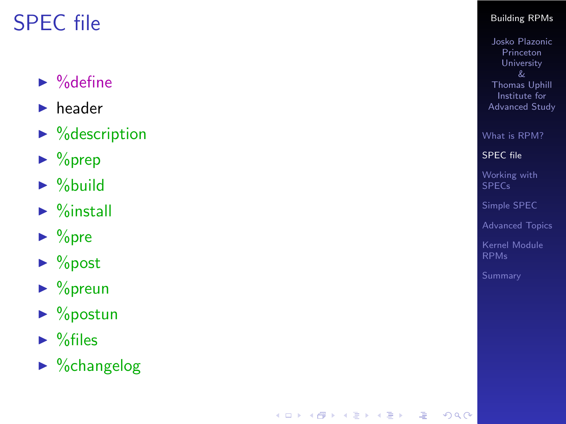## SPEC file

### $\triangleright$  % define

- $\blacktriangleright$  header
- $\triangleright$  % description
- $\blacktriangleright$  % prep
- $\blacktriangleright$  %build
- $\blacktriangleright$  %install
- $\triangleright$  % pre
- $\blacktriangleright$  %post
- $\triangleright$  % preun
- $\triangleright$  % postun
- $\blacktriangleright$  % files
- <span id="page-20-0"></span> $\triangleright$  %changelog

#### [Building RPMs](#page-0-0)

Josko Plazonic Princeton University Thomas Uphill Institute for Advanced Study

[What is RPM?](#page-2-0)

[SPEC file](#page-20-0)

[Working with](#page-32-0) SPECs

[Simple SPEC](#page-33-0)

[Advanced Topics](#page-35-0)

[Kernel Module](#page-37-0) RPMs

メロトメ 御 トメ 君 トメ 君 トッ 君  $2990$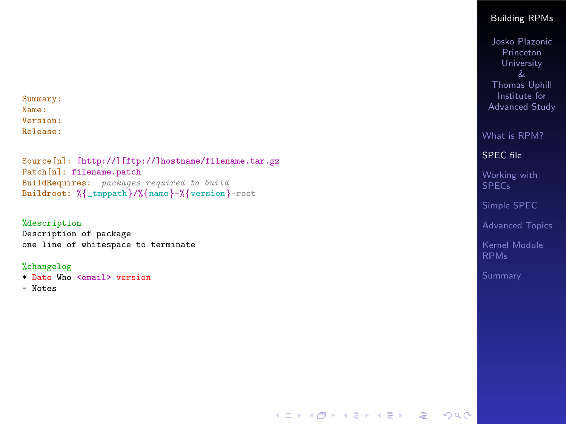Summary: Name: Version: Release:

Source[n]: [http://][ftp://]hostname/filename.tar.gz Patch[n]: filename.patch BuildRequires: packages required to build Buildroot: % {\_tmppath }/% {name }-% {version }-root

#### %description

Description of package one line of whitespace to terminate

#### %changelog

- \* Date Who <email> version
- Notes

#### [Building RPMs](#page-0-0)

Josko Plazonic Princeton **University** Thomas Uphill Institute for Advanced Study

[What is RPM?](#page-2-0)

#### [SPEC file](#page-20-0)

[Working with](#page-32-0) SPECs

[Simple SPEC](#page-33-0)

[Advanced Topics](#page-35-0)

[Kernel Module](#page-37-0)

**K ロ ▶ K 個 ▶ K 할 ▶ K 할 ▶ 이 할 수 있다.**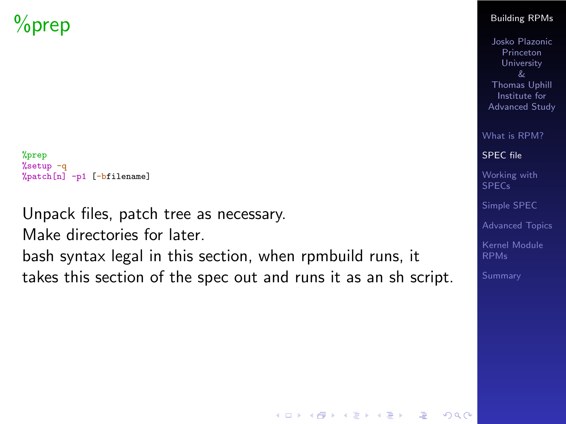## %prep

```
%prep
%setup -q
%patch[n] -p1 [-bfilename]
```
Unpack files, patch tree as necessary.

Make directories for later.

bash syntax legal in this section, when rpmbuild runs, it takes this section of the spec out and runs it as an sh script.

#### [Building RPMs](#page-0-0)

Josko Plazonic Princeton University Thomas Uphill Institute for Advanced Study

[What is RPM?](#page-2-0)

[SPEC file](#page-20-0)

[Working with](#page-32-0) SPECs

[Simple SPEC](#page-33-0)

[Advanced Topics](#page-35-0)

[Kernel Module](#page-37-0)

K ロ ▶ K 個 ▶ K 할 ▶ K 할 ▶ 그럴 ▶ 그럴 → 9 Q @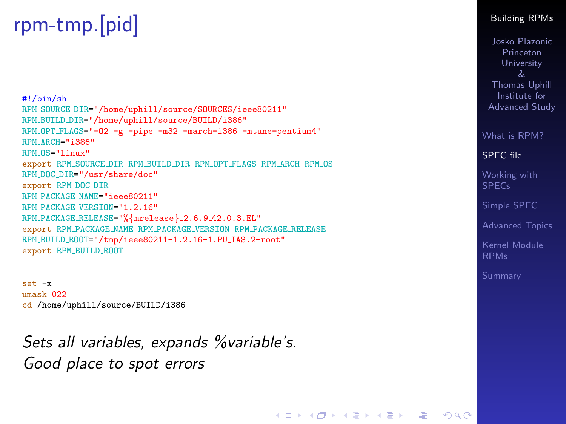## rpm-tmp.[pid]

#!/bin/sh RPM SOURCE DIR="/home/uphill/source/SOURCES/ieee80211" RPM BUILD DIR="/home/uphill/source/BUILD/i386" RPM OPT FLAGS="-O2 -g -pipe -m32 -march=i386 -mtune=pentium4" RPM\_ARCH="i386" RPM\_OS="linux" export RPM\_SOURCE\_DIR RPM\_BUILD\_DIR RPM\_OPT\_FLAGS RPM\_ARCH RPM\_OS RPM DOC DIR="/usr/share/doc" export RPM DOC DIR RPM PACKAGE NAME="ieee80211" RPM PACKAGE VERSION="1.2.16" RPM PACKAGE RELEASE="%{mrelease} 2.6.9 42.0.3.EL" export RPM PACKAGE NAME RPM PACKAGE VERSION RPM PACKAGE RELEASE RPM\_BUILD\_ROOT="/tmp/ieee80211-1.2.16-1.PU\_IAS.2-root" export RPM BUILD ROOT

set -x umask 022 cd /home/uphill/source/BUILD/i386

Sets all variables, expands %variable's. Good place to spot errors

#### [Building RPMs](#page-0-0)

Josko Plazonic Princeton University Thomas Uphill Institute for Advanced Study

[What is RPM?](#page-2-0)

[SPEC file](#page-20-0)

[Working with](#page-32-0) **SPECs** 

[Simple SPEC](#page-33-0)

[Advanced Topics](#page-35-0)

[Kernel Module](#page-37-0)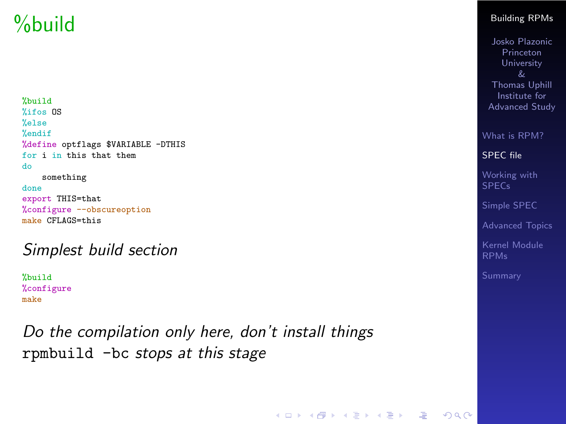## %build

%build %ifos OS %else %endif %define optflags \$VARIABLE -DTHIS for i in this that them do something done export THIS=that %configure --obscureoption make CFLAGS=this

### Simplest build section

%build %configure make

Do the compilation only here, don't install things rpmbuild -bc stops at this stage

#### [Building RPMs](#page-0-0)

Josko Plazonic Princeton University Thomas Uphill Institute for Advanced Study

[What is RPM?](#page-2-0)

[SPEC file](#page-20-0)

[Working with](#page-32-0) SPECs

[Simple SPEC](#page-33-0)

[Advanced Topics](#page-35-0)

[Kernel Module](#page-37-0)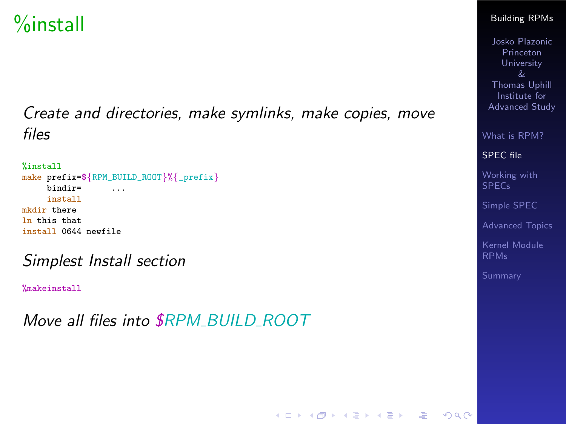## %install

Create and directories, make symlinks, make copies, move files

```
%install
make prefix=${RPM_BUILD_ROOT}%{_prefix}
     bindir= ...
     install
mkdir there
ln this that
install 0644 newfile
```
Simplest Install section

%makeinstall

Move all files into **\$RPM BUILD ROOT** 

#### [Building RPMs](#page-0-0)

Josko Plazonic Princeton University Thomas Uphill Institute for Advanced Study

[What is RPM?](#page-2-0)

[SPEC file](#page-20-0)

[Working with](#page-32-0) SPECs

[Simple SPEC](#page-33-0)

[Advanced Topics](#page-35-0)

[Kernel Module](#page-37-0)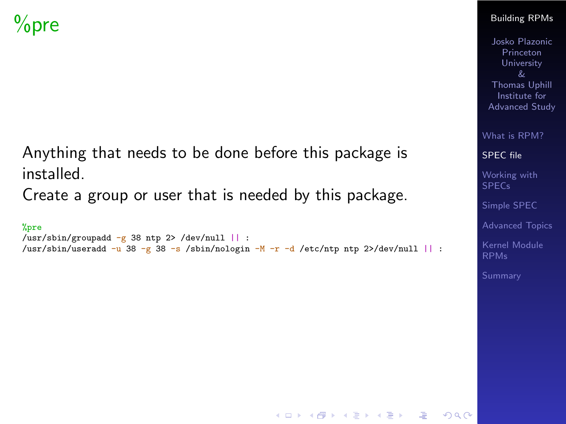Anything that needs to be done before this package is installed.

Create a group or user that is needed by this package.

```
%pre
/usr/sbin/groupadd -g 38 ntp 2> /dev/null || :
\frac{\text{w}}{\text{w}}/usr/sbin/useradd -u 38 -g 38 -s /sbin/nologin -M -r -d /etc/ntp ntp 2>/dev/null || :
```
#### [Building RPMs](#page-0-0)

Josko Plazonic Princeton University Thomas Uphill Institute for Advanced Study

[What is RPM?](#page-2-0)

[SPEC file](#page-20-0)

[Working with](#page-32-0) SPECs

[Simple SPEC](#page-33-0)

[Advanced Topics](#page-35-0)

[Kernel Module](#page-37-0)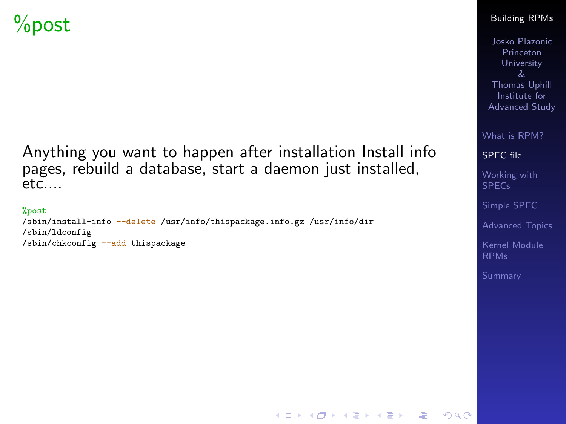Anything you want to happen after installation Install info pages, rebuild a database, start a daemon just installed,  $etc.$ 

#### %post

/sbin/install-info --delete /usr/info/thispackage.info.gz /usr/info/dir /sbin/ldconfig /sbin/chkconfig --add thispackage

#### [Building RPMs](#page-0-0)

Josko Plazonic Princeton University Thomas Uphill Institute for Advanced Study

[What is RPM?](#page-2-0)

[SPEC file](#page-20-0)

[Working with](#page-32-0) SPECs

[Simple SPEC](#page-33-0)

[Advanced Topics](#page-35-0)

[Kernel Module](#page-37-0)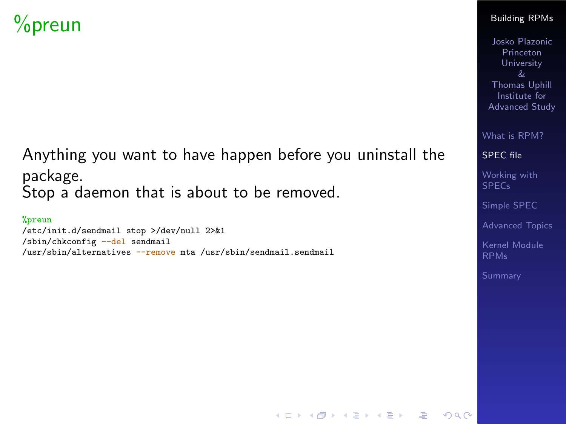## %preun

### Anything you want to have happen before you uninstall the package. Stop a daemon that is about to be removed.

#### %preun

/etc/init.d/sendmail stop >/dev/null 2>&1 /sbin/chkconfig --del sendmail /usr/sbin/alternatives --remove mta /usr/sbin/sendmail.sendmail

#### [Building RPMs](#page-0-0)

Josko Plazonic Princeton University Thomas Uphill Institute for Advanced Study

[What is RPM?](#page-2-0)

[SPEC file](#page-20-0)

[Working with](#page-32-0) SPECs

[Simple SPEC](#page-33-0)

[Advanced Topics](#page-35-0)

[Kernel Module](#page-37-0)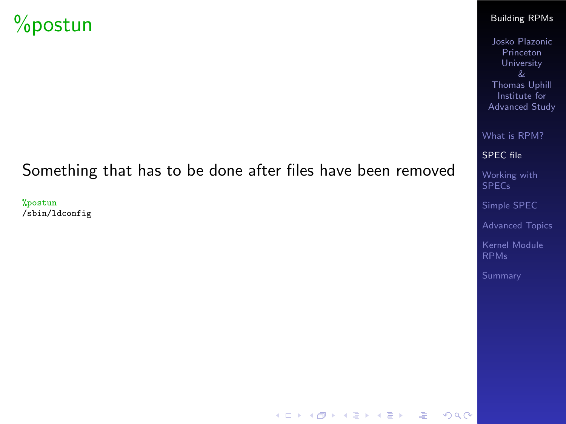## %postun

### Something that has to be done after files have been removed

%postun /sbin/ldconfig

#### [Building RPMs](#page-0-0)

Josko Plazonic Princeton University Thomas Uphill Institute for Advanced Study

[What is RPM?](#page-2-0)

[SPEC file](#page-20-0)

[Working with](#page-32-0) SPECs

[Simple SPEC](#page-33-0)

[Advanced Topics](#page-35-0)

[Kernel Module](#page-37-0) RPMs

K ロ ▶ K 個 ▶ K 할 ▶ K 할 ▶ 이 할 → 이익 Q ·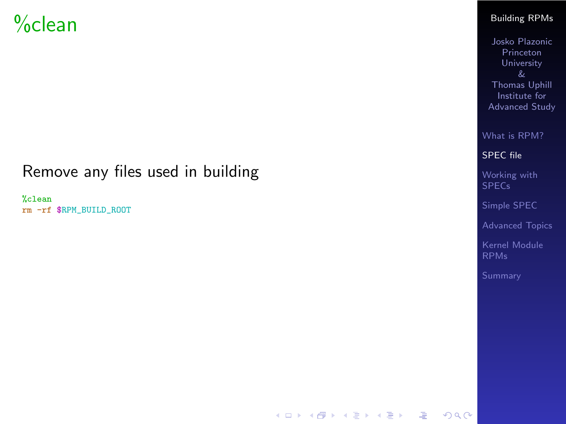### %clean

### Remove any files used in building

%clean rm -rf \$RPM\_BUILD\_ROOT

#### [Building RPMs](#page-0-0)

Josko Plazonic Princeton University & Thomas Uphill Institute for Advanced Study

[What is RPM?](#page-2-0)

[SPEC file](#page-20-0)

[Working with](#page-32-0) SPECs

[Simple SPEC](#page-33-0)

[Advanced Topics](#page-35-0)

[Kernel Module](#page-37-0) RPMs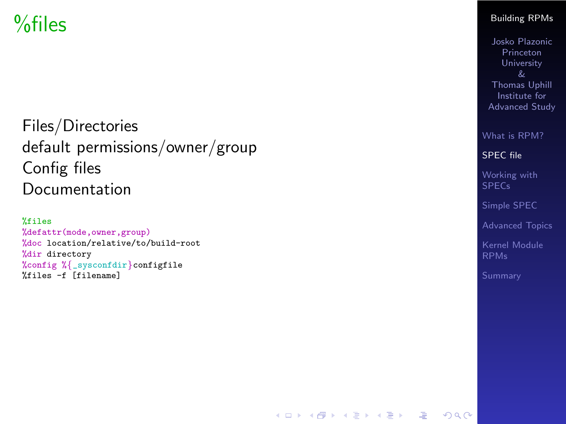## %files

Files/Directories default permissions/owner/group Config files Documentation

%files %defattr(mode,owner,group) %doc location/relative/to/build-root %dir directory %config % {\_sysconfdir }configfile %files -f [filename]

#### [Building RPMs](#page-0-0)

Josko Plazonic Princeton University Thomas Uphill Institute for Advanced Study

[What is RPM?](#page-2-0)

[SPEC file](#page-20-0)

[Working with](#page-32-0) SPECs

[Simple SPEC](#page-33-0)

[Advanced Topics](#page-35-0)

[Kernel Module](#page-37-0)

K ロ ▶ K 個 ▶ K 할 ▶ K 할 ▶ 그럴 ▶ 그럴 → 9 Q @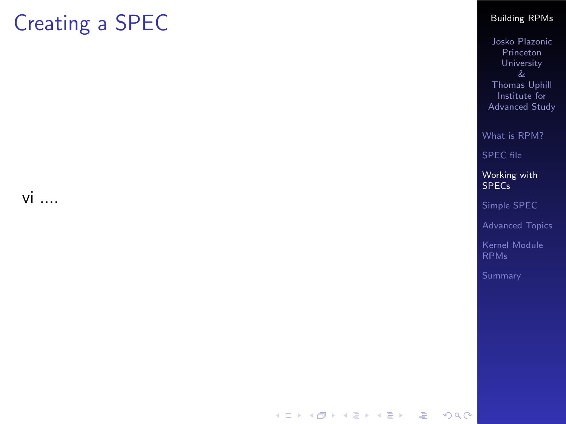## Creating a SPEC

<span id="page-32-0"></span>vi ....

#### [Building RPMs](#page-0-0)

Josko Plazonic Princeton University & Thomas Uphill Institute for Advanced Study

[What is RPM?](#page-2-0)

[SPEC file](#page-20-0)

[Working with](#page-32-0) **SPECs** 

[Simple SPEC](#page-33-0)

[Advanced Topics](#page-35-0)

[Kernel Module](#page-37-0) RPMs

K ロ > K 레 > K 코 > K 코 > 『코 → 9 Q Q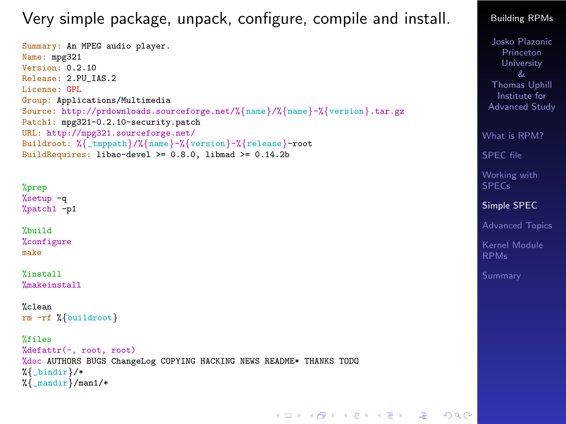### Very simple package, unpack, configure, compile and install.

Summary: An MPEG audio player. Name: mpg321 Version: 0.2.10 Release: 2.PU\_IAS.2 License: GPL Group: Applications/Multimedia Source: http://prdownloads.sourceforge.net/%{name}/%{name}-%{version}.tar.gz Patch1: mpg321-0.2.10-security.patch URL: http://mpg321.sourceforge.net/ Buildroot: %{\_tmppath}/%{name}-%{version}-%{release}-root BuildRequires: libao-devel >= 0.8.0, libmad >= 0.14.2b

%prep %setup -q %patch1 -p1

%build %configure make

%install %makeinstall

```
%clean
rm -rf %{buildroot}
```
%files

```
%defattr(-, root, root)
%doc AUTHORS BUGS ChangeLog COPYING HACKING NEWS README* THANKS TODO
%{ bindir }/*
\sqrt[k]{ mandir \frac{1}{k} man1/*
```
[Building RPMs](#page-0-0)

Josko Plazonic Princeton University Thomas Uphill Institute for Advanced Study

[What is RPM?](#page-2-0)

[SPEC file](#page-20-0)

[Working with](#page-32-0) SPECs

[Simple SPEC](#page-33-0)

[Advanced Topics](#page-35-0)

[Kernel Module](#page-37-0)

K ロ ▶ K 個 ▶ K 할 ▶ K 할 ▶ 그럴 ▶ 그럴 → 9 Q @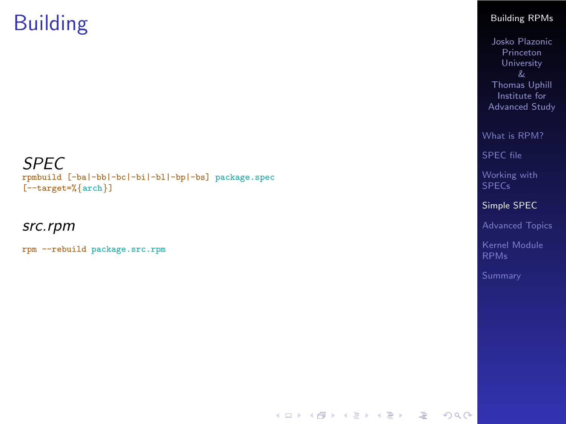## Building

SPEC

rpmbuild [-ba|-bb|-bc|-bi|-bl|-bp|-bs] package.spec [--target=% {arch } ]

src.rpm

rpm --rebuild package.src.rpm

#### [Building RPMs](#page-0-0)

Josko Plazonic Princeton University Thomas Uphill Institute for Advanced Study

[What is RPM?](#page-2-0)

[SPEC file](#page-20-0)

[Working with](#page-32-0) SPECs

[Simple SPEC](#page-33-0)

[Advanced Topics](#page-35-0)

[Kernel Module](#page-37-0) RPMs

K ロ ▶ K 個 ▶ K 할 ▶ K 할 ▶ 이 할 → 이익 Q ·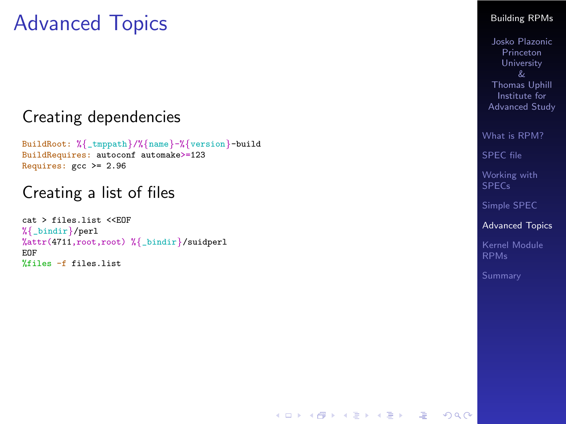## Advanced Topics

### Creating dependencies

BuildRoot: % {\_tmppath }/% {name }-% {version }-build BuildRequires: autoconf automake>=123 Requires:  $\text{gcc} \ge 2.96$ 

### Creating a list of files

<span id="page-35-0"></span>cat > files.list <<EOF %{\_bindir}/perl %attr(4711,root,root) % {\_bindir }/suidperl EOF %files -f files.list

#### [Building RPMs](#page-0-0)

Josko Plazonic Princeton University Thomas Uphill Institute for Advanced Study

[What is RPM?](#page-2-0)

[SPEC file](#page-20-0)

[Working with](#page-32-0) SPECs

[Simple SPEC](#page-33-0)

[Advanced Topics](#page-35-0)

[Kernel Module](#page-37-0)

K ロ X x 4D X X B X X B X B X A C V X C V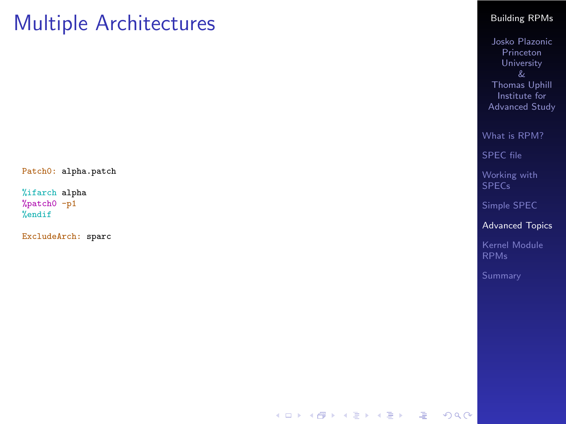### Multiple Architectures

Patch0: alpha.patch

%ifarch alpha %patch0 -p1 %endif

ExcludeArch: sparc

#### [Building RPMs](#page-0-0)

Josko Plazonic Princeton University & Thomas Uphill Institute for Advanced Study

[What is RPM?](#page-2-0)

[SPEC file](#page-20-0)

[Working with](#page-32-0) SPECs

[Simple SPEC](#page-33-0)

[Advanced Topics](#page-35-0)

[Kernel Module](#page-37-0) RPMs

K ロ ▶ K 個 ▶ K 할 ▶ K 할 ▶ 이 할 → 이익 Q ·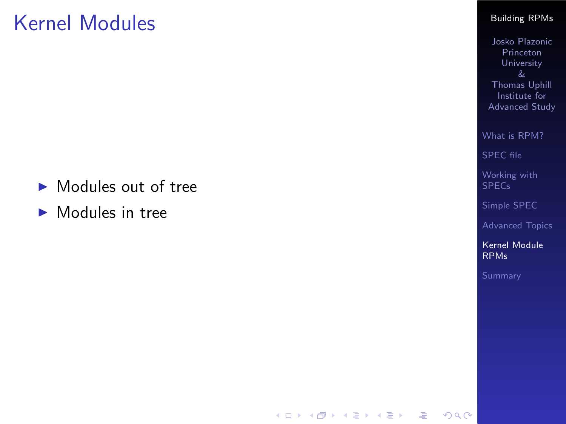### Kernel Modules

- Modules out of tree
- <span id="page-37-0"></span> $\blacktriangleright$  Modules in tree

#### [Building RPMs](#page-0-0)

Josko Plazonic Princeton University & Thomas Uphill Institute for Advanced Study

[What is RPM?](#page-2-0)

[SPEC file](#page-20-0)

[Working with](#page-32-0) SPECs

[Simple SPEC](#page-33-0)

[Advanced Topics](#page-35-0)

[Kernel Module](#page-37-0) RPMs

K ロ ▶ K 個 ▶ K 할 ▶ K 할 ▶ 이 할 → 이익 Q ·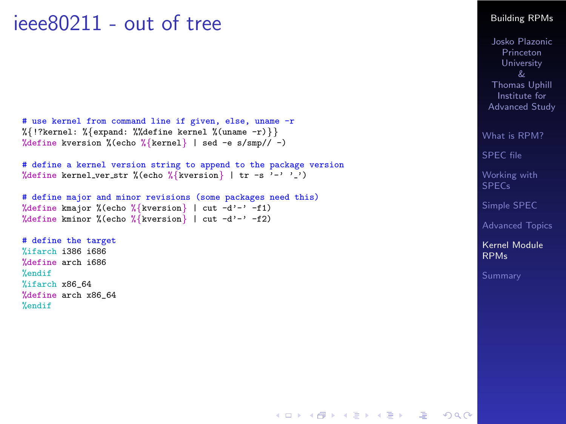### ieee80211 - out of tree

```
# use kernel from command line if given, else, uname -r %{!?kernel: %{expand: %%define kernel %(uname -r)}}
%define kversion %(echo
%
{kernel
} | sed -e s/smp// -)
```

```
# define a kernel version string to append to the package version
%define kernel ver str %(echo
%
{kversion
} | tr -s '-' ' ')
```

```
# define major and minor revisions (some packages need this)
%define kmajor %(echo
%
{kversion
} | cut -d'-' -f1)
%define kminor %(echo
%
{kversion
} | cut -d'-' -f2)
```
# define the target %ifarch i386 i686 %define arch i686 %endif %ifarch x86\_64 %define arch x86\_64 %endif

#### [Building RPMs](#page-0-0)

Josko Plazonic Princeton University Thomas Uphill Institute for Advanced Study

[What is RPM?](#page-2-0)

[SPEC file](#page-20-0)

[Working with](#page-32-0) SPECs

[Simple SPEC](#page-33-0)

[Advanced Topics](#page-35-0)

[Kernel Module](#page-37-0) RPMs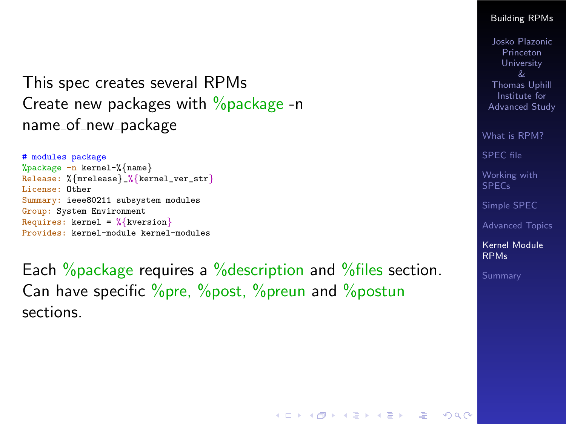This spec creates several RPMs Create new packages with  $\%$  package -n name\_of\_new\_package

```
# modules package
%package -n kernel-%{name}
Release: %{mrelease}_%{kernel_ver_str}
License: Other
Summary: ieee80211 subsystem modules
Group: System Environment
Requires: kernel = \sqrt[k]{k} kversion}
Provides: kernel-module kernel-modules
```
Each %package requires a %description and % files section. Can have specific %pre, %post, %preun and %postun sections.

#### [Building RPMs](#page-0-0)

Josko Plazonic Princeton University Thomas Uphill Institute for Advanced Study

[What is RPM?](#page-2-0)

[SPEC file](#page-20-0)

[Working with](#page-32-0) SPECs

[Simple SPEC](#page-33-0)

[Advanced Topics](#page-35-0)

[Kernel Module](#page-37-0) RPMs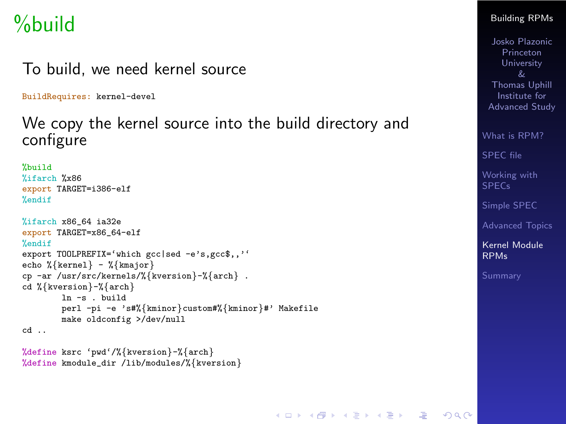## %build

### To build, we need kernel source

BuildRequires: kernel-devel

### We copy the kernel source into the build directory and configure

```
%build
%ifarch %x86
export TARGET=i386-elf
%endif
%ifarch x86_64 ia32e
export TARGET=x86_64-elf
%endif
export TOOLPREFIX='which gcc|sed -e's,gcc$,,''
echo %{kernel} - %{kmajor}
cp -ar /usr/src/kernels/%{kversion}-%{arch} .
cd %{kversion}-%{arch}
       ln -s binindperl -pi -e 's#%{kminor}custom#%{kminor}#' Makefile
       make oldconfig >/dev/null
cd ..
```

```
%define ksrc 'pwd'/%{kversion}-%{arch}
%define kmodule_dir /lib/modules/%{kversion}
```
#### [Building RPMs](#page-0-0)

Josko Plazonic Princeton **University** Thomas Uphill Institute for Advanced Study

[What is RPM?](#page-2-0)

[SPEC file](#page-20-0)

[Working with](#page-32-0) SPECs

[Simple SPEC](#page-33-0)

[Advanced Topics](#page-35-0)

[Kernel Module](#page-37-0) RPMs

K ロ X x 4D X X B X X B X B X A C V X C V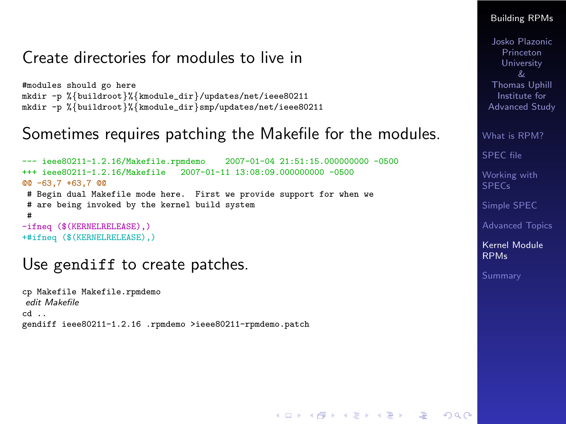### Create directories for modules to live in

#modules should go here mkdir -p %{buildroot}%{kmodule\_dir}/updates/net/ieee80211 mkdir -p %{buildroot}%{kmodule\_dir}smp/updates/net/ieee80211

### Sometimes requires patching the Makefile for the modules.

```
--- ieee80211-1.2.16/Makefile.rpmdemo 2007-01-04 21:51:15.000000000 -0500<br>++ieee80211-1 2 16/Makefile 2007-01-11 13:08:09 000000000 -0500
                                       -2007 - 01 - 11 13:08:09.000000000 -0500@@ -63,7 +63,7 @@
 # Begin dual Makefile mode here. First we provide support for when we
 # are being invoked by the kernel build system
 #
-ifneq ($(KERNELRELEASE),)
+#ifneq ($(KERNELRELEASE),)
```
### Use gendiff to create patches.

cp Makefile Makefile.rpmdemo edit Makefile cd .. gendiff ieee80211-1.2.16 .rpmdemo >ieee80211-rpmdemo.patch

#### [Building RPMs](#page-0-0)

Josko Plazonic Princeton University Thomas Uphill Institute for Advanced Study

[What is RPM?](#page-2-0)

[SPEC file](#page-20-0)

[Working with](#page-32-0) **SPECs** 

[Simple SPEC](#page-33-0)

[Advanced Topics](#page-35-0)

[Kernel Module](#page-37-0) RPMs

[Summary](#page-48-0)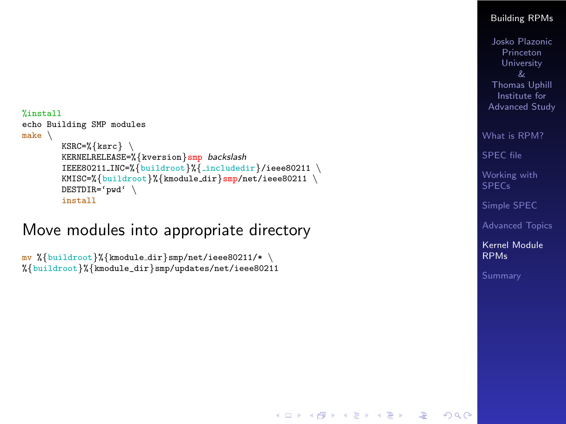```
%install
echo Building SMP modules
make
\
         KSRC=%
{ksrc} \
         KERNELRELEASE=%{kversion}<mark>smp</mark> backslash
         IEEE80211_INC=%{buildroot}%{_includedir}/ieee80211 \
         KMISC=%{buildroot}%{kmodule_dir}<mark>smp</mark>/net/ieee80211 \
         DESTDIR='pwd'
\
         install
```
### Move modules into appropriate directory

```
mv %{buildroot}%{kmodule_dir}smp/net/ieee80211/* \
%{buildroot}%{kmodule_dir}smp/updates/net/ieee80211
```
#### [Building RPMs](#page-0-0)

Josko Plazonic Princeton University Thomas Uphill Institute for Advanced Study

[What is RPM?](#page-2-0)

[SPEC file](#page-20-0)

[Working with](#page-32-0) SPECs

[Simple SPEC](#page-33-0)

[Advanced Topics](#page-35-0)

[Kernel Module](#page-37-0) RPMs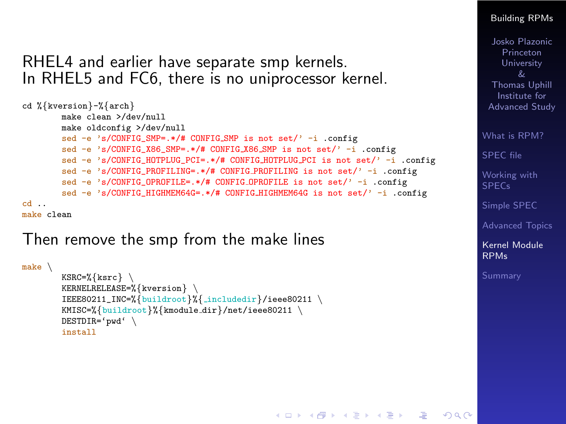### RHEL4 and earlier have separate smp kernels. In RHEL5 and FC6, there is no uniprocessor kernel.

```
cd %{kversion}-%{arch}
        make clean >/dev/null
        make oldconfig >/dev/null
        sed -e 's/CONFIG SMP=.*/# CONFIG SMP is not set/' -i .config
        sed -e 's/CONFIG_X86_SMP=.*/# CONFIG X86 SMP is not set/' -i .config
        sed -e 's/CONFIG_HOTPLUG_PCI=.*/# CONFIG_HOTPLUG_PCI is not set/' -i .config
        sed -e 's/CONFIG_PROFILING=.*/# CONFIG_PROFILING is not set/' -i .config
        sed -e 's/CONFIG_OPROFILE=.*/# CONFIG_OPROFILE is not set/' -i .config
        sed -e^{-\lambda} s/CONFIG HIGHMEM64G=.*/# CONFIG HIGHMEM64G is not set/ ' -i .confipcd ..
make clean
```
### Then remove the smp from the make lines

```
make \setminusKSRC=%{ksrc} \
        KERNELRELEASE=%{kversion} \
        IEEE80211_INC=%{buildroot}%{ includedir}/ieee80211 \
        KMISC=%{buildroot}%{kmodule dir}/net/ieee80211 \
        DESTDIR='pwd' \
        install
```
#### [Building RPMs](#page-0-0)

Josko Plazonic Princeton University Thomas Uphill Institute for Advanced Study

[What is RPM?](#page-2-0)

[SPEC file](#page-20-0)

[Working with](#page-32-0) **SPECs** 

[Simple SPEC](#page-33-0)

[Advanced Topics](#page-35-0)

[Kernel Module](#page-37-0) RPMs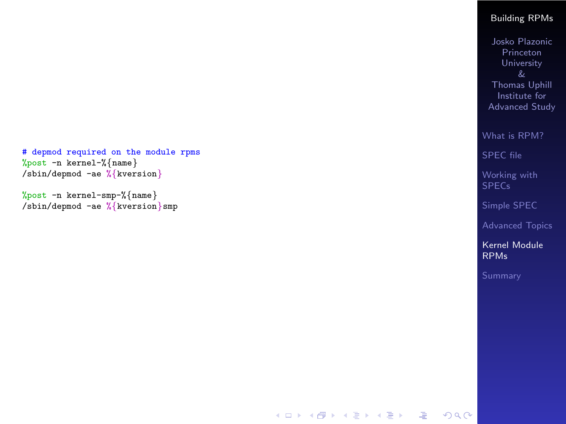```
# depmod required on the module rpms
%post -n kernel-%
{name
}
/sbin/depmod -ae
%
{kversion
}
```
%post -n kernel-smp-% {name } /sbin/depmod -ae % {kversion }smp

#### [Building RPMs](#page-0-0)

Josko Plazonic Princeton University & Thomas Uphill Institute for Advanced Study

[What is RPM?](#page-2-0)

[SPEC file](#page-20-0)

[Working with](#page-32-0) **SPEC<sub>s</sub>** 

[Simple SPEC](#page-33-0)

[Advanced Topics](#page-35-0)

[Kernel Module](#page-37-0) RPMs

**KORK EXTERNE PROVIDE**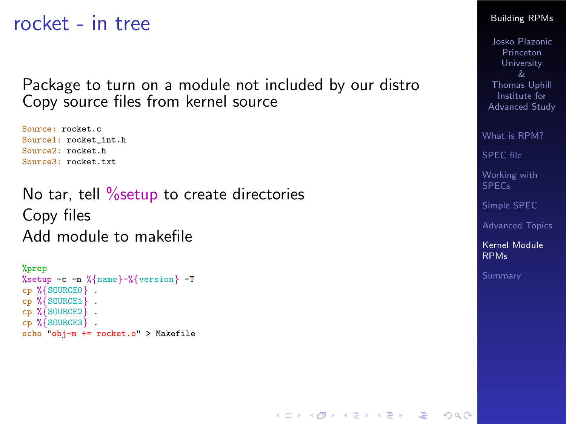rocket - in tree

Package to turn on a module not included by our distro Copy source files from kernel source

Source: rocket.c Source1: rocket\_int.h Source<sup>2</sup>: rocket.h Source3: rocket.txt

No tar, tell % setup to create directories Copy files Add module to makefile

```
%prep
%setup -c -n %{name}-%{version} -T
cp %{SOURCE0} .
cp %{SOURCE1} .
cp %{SOURCE2} .
cp %{SOURCE3} .
echo "obj-m += rocket.o" > Makefile
```
#### [Building RPMs](#page-0-0)

Josko Plazonic Princeton University Thomas Uphill Institute for Advanced Study

[What is RPM?](#page-2-0)

[SPEC file](#page-20-0)

[Working with](#page-32-0) SPECs

[Simple SPEC](#page-33-0)

[Advanced Topics](#page-35-0)

[Kernel Module](#page-37-0) RPMs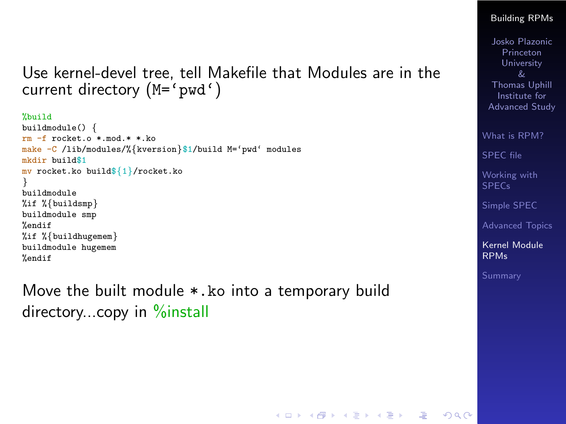### Use kernel-devel tree, tell Makefile that Modules are in the current directory (M='pwd')

%build

```
buildmodule() {
rm -f rocket.o *.mod.* *.ko
make -C /lib/modules/%{kversion}$1/build M='pwd' modules
mkdir build$1
mv rocket.ko build${1}/rocket.ko
}
buildmodule
%if %{buildsmp}
buildmodule smp
%endif
%if %{buildhugemem}
buildmodule hugemem
%endif
```
Move the built module \*.ko into a temporary build directory...copy in %install

#### [Building RPMs](#page-0-0)

Josko Plazonic Princeton University Thomas Uphill Institute for Advanced Study

[What is RPM?](#page-2-0)

[SPEC file](#page-20-0)

[Working with](#page-32-0) **SPECs** 

[Simple SPEC](#page-33-0)

[Advanced Topics](#page-35-0)

[Kernel Module](#page-37-0) RPMs

K ロ X x 4D X X B X X B X B X A C V X C V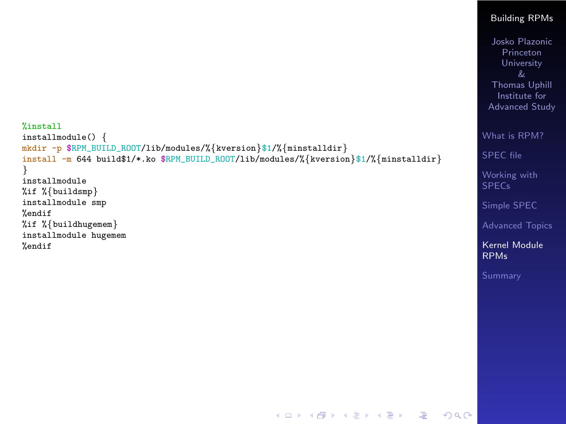```
Building RPMs
                                                                                                 Josko Plazonic
                                                                                                   Princeton
                                                                                                   University
                                                                                                 Thomas Uphill
                                                                                                   Institute for
                                                                                                 Advanced Study
                                                                                               What is RPM?
                                                                                               SPEC file
                                                                                               Working with
                                                                                               SPECs
                                                                                               Simple SPEC
                                                                                               Advanced Topics
                                                                                               Kernel Module
                                                                                               RPMs
%install
installmodule() {
mkdir -p $RPM_BUILD_ROOT/lib/modules/%{kversion}$1/%{minstalldir}
install -m 644 build$1/*.ko $RPM_BUILD_ROOT/lib/modules/%{kversion}$1/%{minstalldir}
}
installmodule
%if %{buildsmp}
installmodule smp
%endif
%if %{buildhugemem}
installmodule hugemem
%endif
```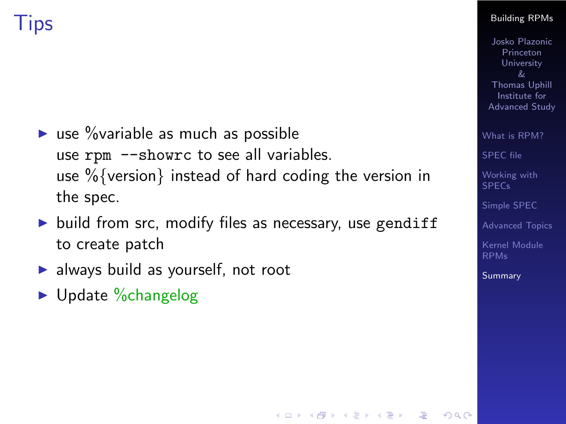

- $\triangleright$  use % variable as much as possible use rpm --showrc to see all variables. use %{version} instead of hard coding the version in the spec.
- $\triangleright$  build from src, modify files as necessary, use gendiff to create patch

- $\blacktriangleright$  always build as yourself, not root
- <span id="page-48-0"></span> $\blacktriangleright$  Update %changelog

#### [Building RPMs](#page-0-0)

Josko Plazonic Princeton **University**  $\mathcal{R}_{I}$ Thomas Uphill Institute for Advanced Study

[What is RPM?](#page-2-0)

[SPEC file](#page-20-0)

[Working with](#page-32-0) SPECs

[Simple SPEC](#page-33-0)

[Advanced Topics](#page-35-0)

[Kernel Module](#page-37-0)

**[Summary](#page-48-0)** 

 $209$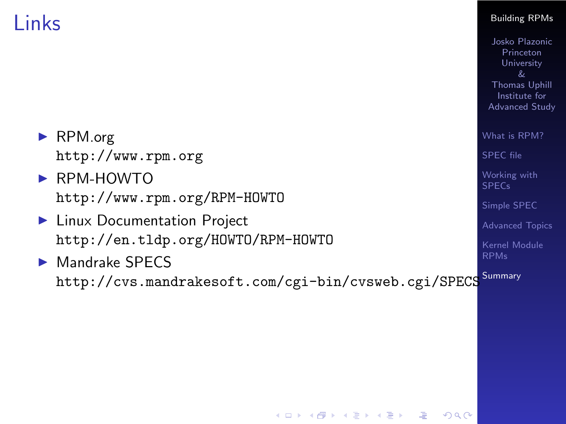## Links

|                                                                                         | &<br><b>Thomas Uphill</b><br>Institute for<br>Advanced Study |
|-----------------------------------------------------------------------------------------|--------------------------------------------------------------|
| $\triangleright$ RPM.org<br>http://www.rpm.org                                          | What is RPM?<br><b>SPEC</b> file                             |
| $\triangleright$ RPM-HOWTO<br>http://www.rpm.org/RPM-HOWTO                              | Working with<br><b>SPECs</b><br>Simple SPEC                  |
| ► Linux Documentation Project<br>http://en.tldp.org/HOWTO/RPM-HOWTO                     | <b>Advanced Topics</b><br>Kernel Module                      |
| $\triangleright$ Mandrake SPECS<br>http://cvs.mandrakesoft.com/cgi-bin/cvsweb.cgi/SPECS | <b>RPMs</b><br>Summary                                       |
|                                                                                         |                                                              |
|                                                                                         |                                                              |
|                                                                                         |                                                              |

K ロ ▶ K @ ▶ K 할 ▶ K 할 ▶ ( 할 ) 1000 W

### [Building RPMs](#page-0-0) Josko Plazonic

**Princeton** University